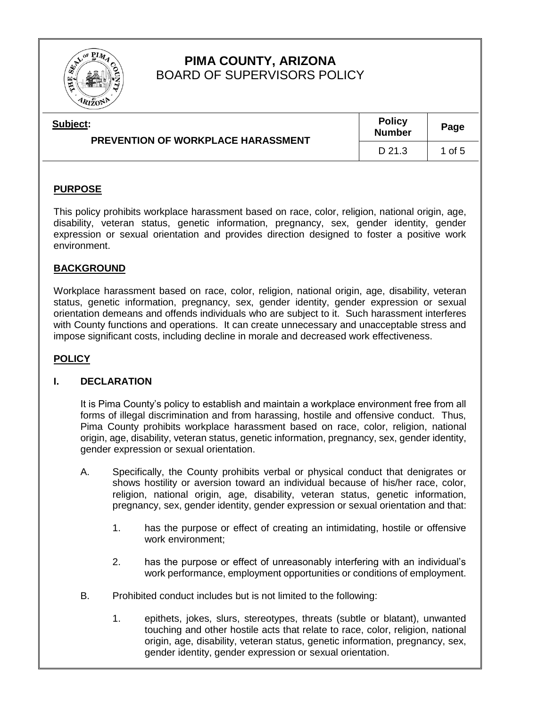

# **PIMA COUNTY, ARIZONA** BOARD OF SUPERVISORS POLICY

| Subject:<br><b>PREVENTION OF WORKPLACE HARASSMENT</b> | <b>Policy</b><br><b>Number</b> | Page   |
|-------------------------------------------------------|--------------------------------|--------|
|                                                       | D 21.3                         | 1 of 5 |

## **PURPOSE**

This policy prohibits workplace harassment based on race, color, religion, national origin, age, disability, veteran status, genetic information, pregnancy, sex, gender identity, gender expression or sexual orientation and provides direction designed to foster a positive work environment.

## **BACKGROUND**

Workplace harassment based on race, color, religion, national origin, age, disability, veteran status, genetic information, pregnancy, sex, gender identity, gender expression or sexual orientation demeans and offends individuals who are subject to it. Such harassment interferes with County functions and operations. It can create unnecessary and unacceptable stress and impose significant costs, including decline in morale and decreased work effectiveness.

### **POLICY**

### **I. DECLARATION**

It is Pima County's policy to establish and maintain a workplace environment free from all forms of illegal discrimination and from harassing, hostile and offensive conduct. Thus, Pima County prohibits workplace harassment based on race, color, religion, national origin, age, disability, veteran status, genetic information, pregnancy, sex, gender identity, gender expression or sexual orientation.

- A. Specifically, the County prohibits verbal or physical conduct that denigrates or shows hostility or aversion toward an individual because of his/her race, color, religion, national origin, age, disability, veteran status, genetic information, pregnancy, sex, gender identity, gender expression or sexual orientation and that:
	- 1. has the purpose or effect of creating an intimidating, hostile or offensive work environment;
	- 2. has the purpose or effect of unreasonably interfering with an individual's work performance, employment opportunities or conditions of employment.
- B. Prohibited conduct includes but is not limited to the following:
	- 1. epithets, jokes, slurs, stereotypes, threats (subtle or blatant), unwanted touching and other hostile acts that relate to race, color, religion, national origin, age, disability, veteran status, genetic information, pregnancy, sex, gender identity, gender expression or sexual orientation.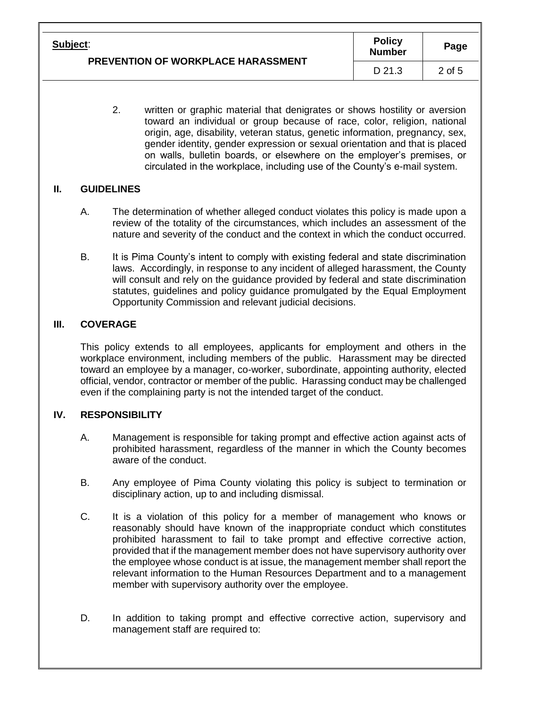| Subject:                           | <b>Policy</b><br><b>Number</b> | Page   |
|------------------------------------|--------------------------------|--------|
| PREVENTION OF WORKPLACE HARASSMENT | D 21.3                         | 2 of 5 |

2. written or graphic material that denigrates or shows hostility or aversion toward an individual or group because of race, color, religion, national origin, age, disability, veteran status, genetic information, pregnancy, sex, gender identity, gender expression or sexual orientation and that is placed on walls, bulletin boards, or elsewhere on the employer's premises, or circulated in the workplace, including use of the County's e-mail system.

## **II. GUIDELINES**

- A. The determination of whether alleged conduct violates this policy is made upon a review of the totality of the circumstances, which includes an assessment of the nature and severity of the conduct and the context in which the conduct occurred.
- B. It is Pima County's intent to comply with existing federal and state discrimination laws. Accordingly, in response to any incident of alleged harassment, the County will consult and rely on the guidance provided by federal and state discrimination statutes, guidelines and policy guidance promulgated by the Equal Employment Opportunity Commission and relevant judicial decisions.

## **III. COVERAGE**

This policy extends to all employees, applicants for employment and others in the workplace environment, including members of the public. Harassment may be directed toward an employee by a manager, co-worker, subordinate, appointing authority, elected official, vendor, contractor or member of the public. Harassing conduct may be challenged even if the complaining party is not the intended target of the conduct.

# **IV. RESPONSIBILITY**

- A. Management is responsible for taking prompt and effective action against acts of prohibited harassment, regardless of the manner in which the County becomes aware of the conduct.
- B. Any employee of Pima County violating this policy is subject to termination or disciplinary action, up to and including dismissal.
- C. It is a violation of this policy for a member of management who knows or reasonably should have known of the inappropriate conduct which constitutes prohibited harassment to fail to take prompt and effective corrective action, provided that if the management member does not have supervisory authority over the employee whose conduct is at issue, the management member shall report the relevant information to the Human Resources Department and to a management member with supervisory authority over the employee.
- D. In addition to taking prompt and effective corrective action, supervisory and management staff are required to: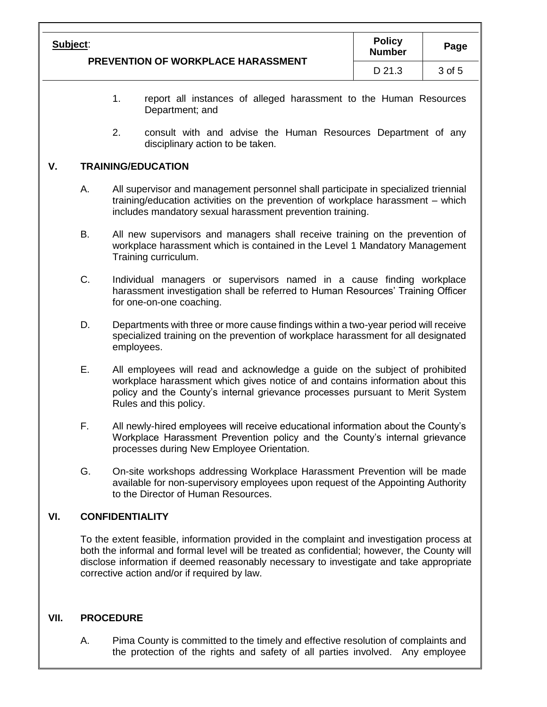| Subject:<br><b>PREVENTION OF WORKPLACE HARASSMENT</b> | <b>Policy</b><br><b>Number</b> | Page   |
|-------------------------------------------------------|--------------------------------|--------|
|                                                       | D 21.3                         | 3 of 5 |

- 1. report all instances of alleged harassment to the Human Resources Department; and
- 2. consult with and advise the Human Resources Department of any disciplinary action to be taken.

#### **V. TRAINING/EDUCATION**

- A. All supervisor and management personnel shall participate in specialized triennial training/education activities on the prevention of workplace harassment – which includes mandatory sexual harassment prevention training.
- B. All new supervisors and managers shall receive training on the prevention of workplace harassment which is contained in the Level 1 Mandatory Management Training curriculum.
- C. Individual managers or supervisors named in a cause finding workplace harassment investigation shall be referred to Human Resources' Training Officer for one-on-one coaching.
- D. Departments with three or more cause findings within a two-year period will receive specialized training on the prevention of workplace harassment for all designated employees.
- E. All employees will read and acknowledge a guide on the subject of prohibited workplace harassment which gives notice of and contains information about this policy and the County's internal grievance processes pursuant to Merit System Rules and this policy.
- F. All newly-hired employees will receive educational information about the County's Workplace Harassment Prevention policy and the County's internal grievance processes during New Employee Orientation.
- G. On-site workshops addressing Workplace Harassment Prevention will be made available for non-supervisory employees upon request of the Appointing Authority to the Director of Human Resources.

### **VI. CONFIDENTIALITY**

To the extent feasible, information provided in the complaint and investigation process at both the informal and formal level will be treated as confidential; however, the County will disclose information if deemed reasonably necessary to investigate and take appropriate corrective action and/or if required by law.

### **VII. PROCEDURE**

A. Pima County is committed to the timely and effective resolution of complaints and the protection of the rights and safety of all parties involved. Any employee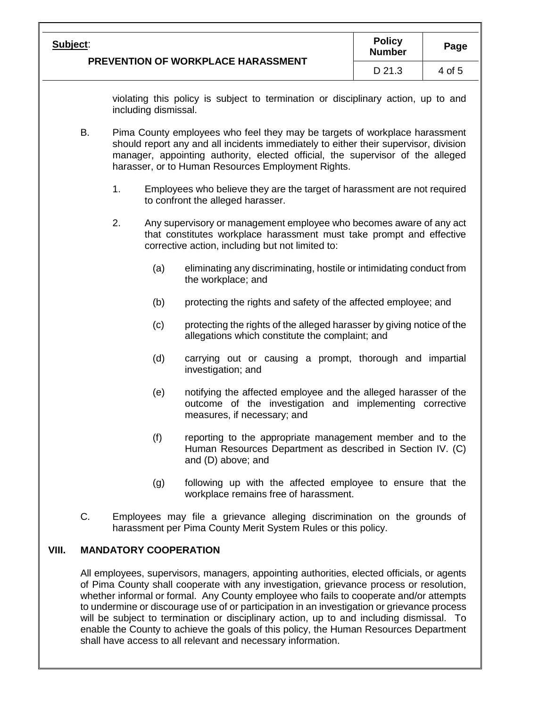|       | <b>Policy</b><br>Subject:<br>Page                                                                                                                                                                                                                                               |                                                                                                                                                                                                                                                                                                            |                                                                                                                                                                                                 |                                                                                                                                                            |        |  |  |
|-------|---------------------------------------------------------------------------------------------------------------------------------------------------------------------------------------------------------------------------------------------------------------------------------|------------------------------------------------------------------------------------------------------------------------------------------------------------------------------------------------------------------------------------------------------------------------------------------------------------|-------------------------------------------------------------------------------------------------------------------------------------------------------------------------------------------------|------------------------------------------------------------------------------------------------------------------------------------------------------------|--------|--|--|
|       | PREVENTION OF WORKPLACE HARASSMENT                                                                                                                                                                                                                                              |                                                                                                                                                                                                                                                                                                            |                                                                                                                                                                                                 | <b>Number</b><br>D 21.3                                                                                                                                    | 4 of 5 |  |  |
|       |                                                                                                                                                                                                                                                                                 |                                                                                                                                                                                                                                                                                                            |                                                                                                                                                                                                 |                                                                                                                                                            |        |  |  |
|       |                                                                                                                                                                                                                                                                                 | violating this policy is subject to termination or disciplinary action, up to and<br>including dismissal.                                                                                                                                                                                                  |                                                                                                                                                                                                 |                                                                                                                                                            |        |  |  |
|       | B.                                                                                                                                                                                                                                                                              | Pima County employees who feel they may be targets of workplace harassment<br>should report any and all incidents immediately to either their supervisor, division<br>manager, appointing authority, elected official, the supervisor of the alleged<br>harasser, or to Human Resources Employment Rights. |                                                                                                                                                                                                 |                                                                                                                                                            |        |  |  |
|       |                                                                                                                                                                                                                                                                                 | 1.                                                                                                                                                                                                                                                                                                         |                                                                                                                                                                                                 | Employees who believe they are the target of harassment are not required<br>to confront the alleged harasser.                                              |        |  |  |
|       |                                                                                                                                                                                                                                                                                 | 2.                                                                                                                                                                                                                                                                                                         | Any supervisory or management employee who becomes aware of any act<br>that constitutes workplace harassment must take prompt and effective<br>corrective action, including but not limited to: |                                                                                                                                                            |        |  |  |
|       |                                                                                                                                                                                                                                                                                 |                                                                                                                                                                                                                                                                                                            | (a)                                                                                                                                                                                             | eliminating any discriminating, hostile or intimidating conduct from<br>the workplace; and                                                                 |        |  |  |
|       |                                                                                                                                                                                                                                                                                 |                                                                                                                                                                                                                                                                                                            | (b)                                                                                                                                                                                             | protecting the rights and safety of the affected employee; and                                                                                             |        |  |  |
|       |                                                                                                                                                                                                                                                                                 |                                                                                                                                                                                                                                                                                                            | (c)                                                                                                                                                                                             | protecting the rights of the alleged harasser by giving notice of the<br>allegations which constitute the complaint; and                                   |        |  |  |
|       |                                                                                                                                                                                                                                                                                 |                                                                                                                                                                                                                                                                                                            | (d)                                                                                                                                                                                             | carrying out or causing a prompt, thorough and impartial<br>investigation; and                                                                             |        |  |  |
|       |                                                                                                                                                                                                                                                                                 |                                                                                                                                                                                                                                                                                                            | (e)                                                                                                                                                                                             | notifying the affected employee and the alleged harasser of the<br>outcome of the investigation and implementing corrective<br>measures, if necessary; and |        |  |  |
|       |                                                                                                                                                                                                                                                                                 |                                                                                                                                                                                                                                                                                                            | (f)                                                                                                                                                                                             | reporting to the appropriate management member and to the<br>Human Resources Department as described in Section IV. (C)<br>and (D) above; and              |        |  |  |
|       |                                                                                                                                                                                                                                                                                 |                                                                                                                                                                                                                                                                                                            | (g)                                                                                                                                                                                             | following up with the affected employee to ensure that the<br>workplace remains free of harassment.                                                        |        |  |  |
|       | C.                                                                                                                                                                                                                                                                              |                                                                                                                                                                                                                                                                                                            |                                                                                                                                                                                                 | Employees may file a grievance alleging discrimination on the grounds of<br>harassment per Pima County Merit System Rules or this policy.                  |        |  |  |
| VIII. |                                                                                                                                                                                                                                                                                 |                                                                                                                                                                                                                                                                                                            |                                                                                                                                                                                                 | <b>MANDATORY COOPERATION</b>                                                                                                                               |        |  |  |
|       | All employees, supervisors, managers, appointing authorities, elected officials, or agents<br>of Pima County shall cooperate with any investigation, grievance process or resolution,<br>whether informal or formal. Any County employee who fails to cooperate and/or attempts |                                                                                                                                                                                                                                                                                                            |                                                                                                                                                                                                 |                                                                                                                                                            |        |  |  |

whether informal or formal. Any County employee who fails to cooperate and/or attempts to undermine or discourage use of or participation in an investigation or grievance process will be subject to termination or disciplinary action, up to and including dismissal. To enable the County to achieve the goals of this policy, the Human Resources Department shall have access to all relevant and necessary information.